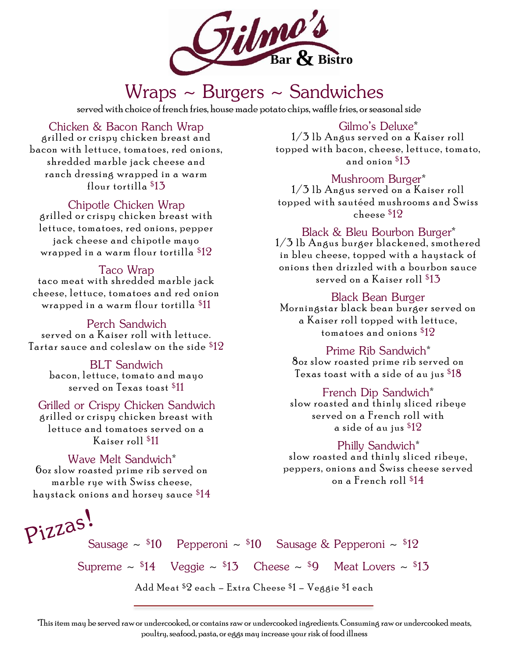

## Wraps  $\sim$  Burgers  $\sim$  Sandwiches

served with choice of french fries, house made potato chips, waffle fries, or seasonal side

grilled or crispy chicken breast and bacon with lettuce, tomatoes, red onions, shredded marble jack cheese and ranch dressing wrapped in a warm flour tortilla <sup>\$</sup>13 Chicken & Bacon Ranch Wrap Gilmo's Deluxe\*

grilled or crispy chicken breast with lettuce, tomatoes, red onions, pepper jack cheese and chipotle mayo wrapped in a warm flour tortilla  $\$12$ Chipotle Chicken Wrap

taco meat with shredded marble jack cheese, lettuce, tomatoes and red onion wrapped in a warm flour tortilla  $\$11$ Taco Wrap

served on a Kaiser roll with lettuce. Tartar sauce and coleslaw on the side  $\$12$ Perch Sandwich

bacon, lettuce, tomato and mayo served on Texas toast <sup>\$</sup>11 BLT Sandwich

grilled or crispy chicken breast with lettuce and tomatoes served on a Kaiser roll <sup>\$</sup>11 Grilled or Crispy Chicken Sandwich

 $6$ oz slow roasted prime rib served on marble rue with Swiss cheese, haystack onions and horsey sauce  $\$14$ Wave Melt Sandwich

 $1/3$  lb Angus served on a Kaiser roll topped with bacon, cheese, lettuce, tomato, and onion  $\$13$ 

 $1/3$  lb Angus served on a Kaiser roll topped with sautéed mushrooms and Swiss cheese <sup>\$</sup>12 Mushroom Burger\*

 $1/3$  lb Angus burger blackened, smothered in bleu cheese, topped with a haystack of onions then drizzled with a bourbon sauce served on a Kaiser roll  $\$13$ Black & Bleu Bourbon Burger

#### Black Bean Burger

Morningstar black bean burger served on a Kaiser roll topped with lettuce, tomatoes and onions  $\$12$ 

80z slow roasted prime rib served on Texas toast with a side of au jus  $\$18$ Prime Rib Sandwich

#### French Dip Sandwich

slow roasted and thinly sliced ribeye served on a French roll with a side of au jus <sup>\$</sup>12

#### Philly Sandwich<sup>\*</sup>

slow roasted and thinly sliced ribeye, peppers, onions and Swiss cheese served on a French roll <sup>\$</sup>14

Sausage ~  $$10$  Pepperoni ~  $$10$  Sausage & Pepperoni ~  $$12$ 

Supreme  $\sim$  \$14 Veggie  $\sim$  \$13 Cheese  $\sim$  \$9 Meat Lovers  $\sim$  \$13

Add Meat \$2 each – Extra Cheese \$1 – Veggie \$1 each

\*This item may be served raw or undercooked, or contains raw or undercooked ingredients. Consuming raw or undercooked meats, poultry, seafood, pasta, or eggs may increase your risk of food illness